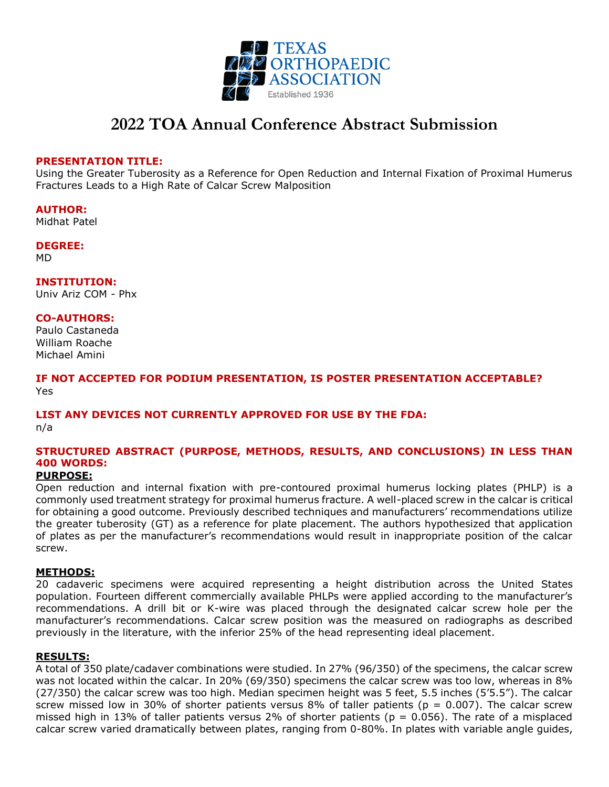

# **2022 TOA Annual Conference Abstract Submission**

#### **PRESENTATION TITLE:**

Using the Greater Tuberosity as a Reference for Open Reduction and Internal Fixation of Proximal Humerus Fractures Leads to a High Rate of Calcar Screw Malposition

**AUTHOR:** Midhat Patel

**DEGREE:** MD

**INSTITUTION:** Univ Ariz COM - Phx

#### **CO-AUTHORS:**

Paulo Castaneda William Roache Michael Amini

**IF NOT ACCEPTED FOR PODIUM PRESENTATION, IS POSTER PRESENTATION ACCEPTABLE?** Yes

## **LIST ANY DEVICES NOT CURRENTLY APPROVED FOR USE BY THE FDA:**

n/a

## **STRUCTURED ABSTRACT (PURPOSE, METHODS, RESULTS, AND CONCLUSIONS) IN LESS THAN 400 WORDS:**

## **PURPOSE:**

Open reduction and internal fixation with pre-contoured proximal humerus locking plates (PHLP) is a commonly used treatment strategy for proximal humerus fracture. A well-placed screw in the calcar is critical for obtaining a good outcome. Previously described techniques and manufacturers' recommendations utilize the greater tuberosity (GT) as a reference for plate placement. The authors hypothesized that application of plates as per the manufacturer's recommendations would result in inappropriate position of the calcar screw.

### **METHODS:**

20 cadaveric specimens were acquired representing a height distribution across the United States population. Fourteen different commercially available PHLPs were applied according to the manufacturer's recommendations. A drill bit or K-wire was placed through the designated calcar screw hole per the manufacturer's recommendations. Calcar screw position was the measured on radiographs as described previously in the literature, with the inferior 25% of the head representing ideal placement.

### **RESULTS:**

A total of 350 plate/cadaver combinations were studied. In 27% (96/350) of the specimens, the calcar screw was not located within the calcar. In 20% (69/350) specimens the calcar screw was too low, whereas in 8% (27/350) the calcar screw was too high. Median specimen height was 5 feet, 5.5 inches (5'5.5"). The calcar screw missed low in 30% of shorter patients versus 8% of taller patients ( $p = 0.007$ ). The calcar screw missed high in 13% of taller patients versus 2% of shorter patients ( $p = 0.056$ ). The rate of a misplaced calcar screw varied dramatically between plates, ranging from 0-80%. In plates with variable angle guides,